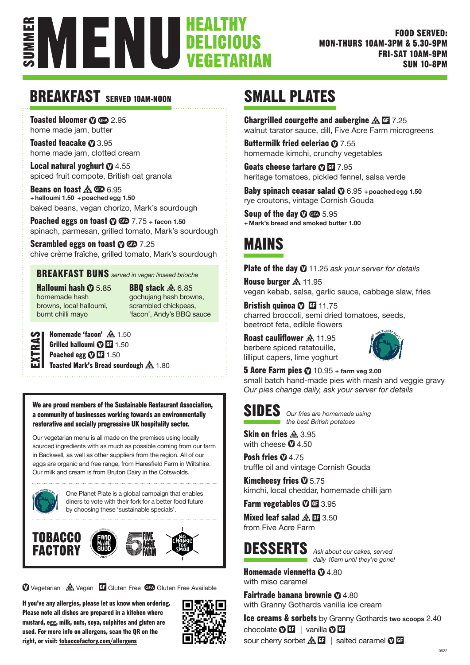

## BREAKFAST SERVED 10AM-NOON

Toasted bloomer  $\Omega$  CD 2.95 home made jam, butter

Toasted teacake  $\Omega$  3.95 home made jam, clotted cream

**Local natural yoghurt**  $\Phi$  4.55 spiced fruit compote, British oat granola

Beans on toast A CD 6.95 **+ halloumi 1.50 + poached egg 1.50** baked beans, vegan chorizo, Mark's sourdough

**Poached eggs on toast**  $\odot$  $\odot$  $\odot$   $7.75 +$  facon 1.50 spinach, parmesan, grilled tomato, Mark's sourdough

Scrambled eggs on toast  $\mathbf{\odot}$   $\mathbf{\odot}$  7.25 chive crème fraîche, grilled tomato, Mark's sourdough

#### BREAKFAST BUNS *served in vegan linseed brioche*

Halloumi hash  $\Omega$  5.85 homemade hash browns, local halloumi, burnt chilli mayo

**BBQ stack**  $\triangle$  **6.85** gochujang hash browns, scrambled chickpeas, 'facon', Andy's BBQ sauce

Homemade 'facon' **A** 1.50 Grilled halloumi  $\Phi$  GF 1.50 Poached egg  $\mathbf{\odot}$   $\mathbf{H}$  1.50  $\overline{\mathbf{\omega}}$  Toasted Mark's Bread sourdough  $\mathbf{\mathbb{A}}$  1.80

We are proud members of the Sustainable Restaurant Association, a community of businesses working towards an environmentally restorative and socially progressive UK hospitality sector.

Our vegetarian menu is all made on the premises using locally sourced ingredients with as much as possible coming from our farm in Backwell, as well as other suppliers from the region. All of our eggs are organic and free range, from Haresfield Farm in Wiltshire. Our milk and cream is from Bruton Dairy in the Cotswolds.



One Planet Plate is a global campaign that enables diners to vote with their fork for a better food future by choosing these 'sustainable specials'.



**V** Vegetarian A Vegan Gluten Free GFA Gluten Free Available

If you've any allergies, please let us know when ordering. Please note all dishes are prepared in a kitchen where mustard, egg, milk, nuts, soya, sulphites and gluten are used. For more info on allergens, scan the QR on the right, or visit: tobaccofactory.com/allergens



## SMALL PLATES

**Chargrilled courgette and aubergine**  $\mathbf{\mathbf{\&}} \mathbf{\&} \mathbf{\&} 7.25$ walnut tarator sauce, dill, Five Acre Farm microgreens

Buttermilk fried celeriac  $\Omega$  7.55 homemade kimchi, crunchy vegetables

Goats cheese tartare  $O$  EF 7.95 heritage tomatoes, pickled fennel, salsa verde

**Baby spinach ceasar salad**  $\Phi$  6.95 + poached egg 1.50 rye croutons, vintage Cornish Gouda

Soup of the day  $\sigma$   $\text{CD}$  5.95 **+ Mark's bread and smoked butter 1.00**

## MAINS

Plate of the day  $\odot$  11.25 ask your server for details

House burger  $A$  11.95 vegan kebab, salsa, garlic sauce, cabbage slaw, fries

Bristish quinoa  $\Phi$   $\mathbb{H}$  11.75 charred broccoli, semi dried tomatoes, seeds, beetroot feta, edible flowers

Roast cauliflower A 11.95 berbere spiced ratatouille, lilliput capers, lime yoghurt



**5 Acre Farm pies**  $\odot$  10.95 + farm veg 2.00 small batch hand-made pies with mash and veggie gravy *Our pies change daily, ask your server for details* 



SIDES *Our fries are homemade using the best British potatoes*

Skin on fries  $A$  3.95 with cheese  $\mathbf{0}$  4.50

Posh fries  $\mathbf{0}$  4.75 truffle oil and vintage Cornish Gouda

Kimcheesy fries  $\mathbf{\Phi}$  5.75 kimchi, local cheddar, homemade chilli jam

Farm vegetables  $\overline{O}$  El 3.95

Mixed leaf salad  $\triangle$   $\Box$  3.50 from Five Acre Farm



DESSERTS *Ask about our cakes, served daily 10am until they're gone!*

**Homemade viennetta**  $\mathbf{Q}$  4.80 with miso caramel

**Fairtrade banana brownie**  $\Phi$  4.80 with Granny Gothards vanilla ice cream

Ice creams & sorbets by Granny Gothards **two scoops** 2.40 chocolate  $\mathbf{0}$   $\mathbf{H}$  | vanilla  $\mathbf{0}$   $\mathbf{H}$ sour cherry sorbet  $\mathbb{A}$   $\mathbb{G}$  | salted caramel  $\mathbb{O}$   $\mathbb{G}$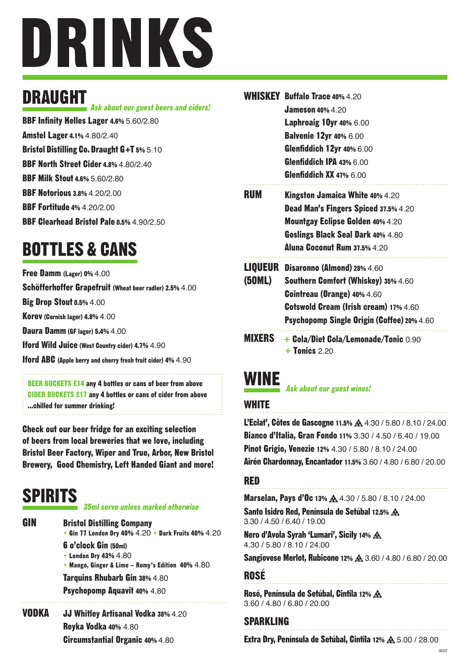

## DRAUGHT

BBF Infinity Helles Lager 4.6% 5.60/2.80 Ask about our guest beers and ciders!

Amstel Lager 4.1% 4.80/2.40

Bristol Distilling Co. Draught G+T 5% 5.10

BBF North Street Cider 4.8% 4.80/2.40

**BBF Milk Stout 4.6% 5.60/2.80** 

BBF Notorious 3.8% 4.20/2.00

BBF Fortitude 4% 4.20/2.00

BBF Clearhead Bristol Pale 0.5% 4.90/2.50

# BOTTLES & CANS

Free Damm (Lager) 0% 4.00

Schöfferhoffer Grapefruit (Wheat beer radler) 2.5% 4.00

Big Drop Stout 0.5% 4.00

Korev (Cornish lager) 4.8% 4.00

Daura Damm (GF lager) 5.4% 4.00

Iford Wild Juice (West Country cider) 4.7% 4.90

Iford ABC (Apple berry and cherry fresh fruit cider) 4% 4.90

BEER BUCKETS £14 any 4 bottles or cans of beer from above CIDER BUCKETS £17 any 4 bottles or cans of cider from above ...chilled for summer drinking!

Check out our beer fridge for an exciting selection of beers from local breweries that we love, including Bristol Beer Factory, Wiper and True, Arbor, New Bristol Brewery, Good Chemistry, Left Handed Giant and more!

# SPIRITS

**GIN** 

#### 35ml serve unless marked otherwise

Bristol Distilling Company • Gin 77 London Dry 40% 4.20 • Dark Fruits 40% 4.20 6 o'clock Gin (50ml) • London Dry 43% 4.80 • Mango, Ginger & Lime – Romy's Edition 40% 4.80

Tarquins Rhubarb Gin 38% 4.80

Psychopomp Aquavit 40% 4.80 

JJ Whitley Artisanal Vodka 38% 4.20 Reyka Vodka 40% 4.80 Circumstantial Organic 40% 4.80 VODKA

|        | <b>WHISKEY Buffalo Trace 40% 4.20</b>                                   |
|--------|-------------------------------------------------------------------------|
|        | <b>Jameson 40% 4.20</b>                                                 |
|        | <b>Laphroaig 10yr 40% 6.00</b>                                          |
|        | <b>Balvenie 12yr 40% 6.00</b>                                           |
|        | <b>Glenfiddich 12yr 40% 6.00</b>                                        |
|        | Glenfiddich IPA 43% 6.00                                                |
|        | <b>Glenfiddich XX 47% 6.00</b>                                          |
| RUM    | <b>Kingston Jamaica White 40% 4.20</b>                                  |
|        | Dead Man's Fingers Spiced 37.5% 4.20                                    |
|        | <b>Mountgay Eclipse Golden 40% 4.20</b>                                 |
|        | Goslings Black Seal Dark 40% 4.80                                       |
|        | Aluna Coconut Rum 37.5% 4.20                                            |
|        | <b>LIQUEUR</b> Disaronno (Almond) 28% 4.60                              |
| (50ML) | <b>Southern Comfort (Whiskey) 35% 4.60</b>                              |
|        | <b>Cointreau (Orange) 40% 4.60</b>                                      |
|        | <b>Cotswold Cream (Irish cream) 17% 4.60</b>                            |
|        | Psychopomp Single Origin (Coffee) 20% 4.60                              |
|        | <b>MIXERS</b> + Cola/Diet Cola/Lemonade/Tonic 0.90<br>$+$ Tonics $2.20$ |

## WINE

Ask about our guest wines!

#### **WHITE**

L'Eclat', Côtes de Gascogne 11.5%  $\triangle$  4.30 / 5.80 / 8.10 / 24.00 Bianco d'Italia, Gran Fondo 11% 3.30 / 4.50 / 6.40 / 19.00 Pinot Grigio, Venezie 12% 4.30 / 5.80 / 8.10 / 24.00 Airén Chardonnay, Encantador 11.5% 3.60 / 4.80 / 6.80 / 20.00

#### RED

Marselan, Pays d'Oc 13%  $\AA$  4.30 / 5.80 / 8.10 / 24.00

Santo Isidro Red, Península de Setúbal 12.5% 3.30 / 4.50 / 6.40 / 19.00

Nero d'Avola Syrah 'Lumari', Sicily 14% 4.30 / 5.80 / 8.10 / 24.00

Sangiovese Merlot, Rubicone 12% 3.60 / 4.80 / 6.80 / 20.00

#### ROSÉ

Rosé, Península de Setúbal, Cintila 12% 3.60 / 4.80 / 6.80 / 20.00

#### SPARKLING

Extra Dry, Península de Setúbal, Cintila 12% A 5.00 / 28.00